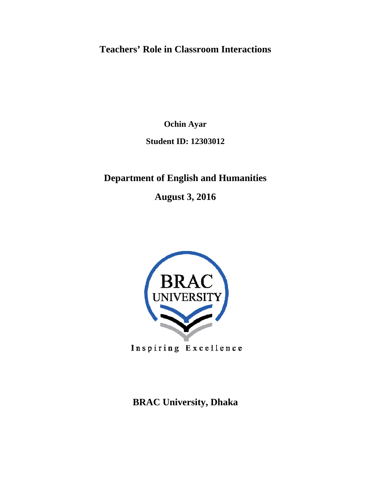# **Teachers' Role in Classroom Interactions**

**Ochin Ayar**

**Student ID: 12303012** 

# **Department of English and Humanities**

**August 3, 2016** 



Inspiring Excellence

# **BRAC University, Dhaka**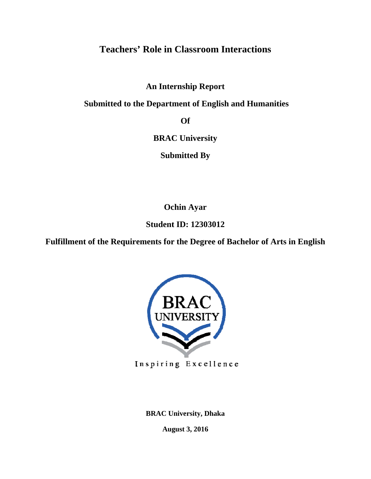# **Teachers' Role in Classroom Interactions**

**An Internship Report** 

 **Submitted to the Department of English and Humanities** 

**Of** 

**BRAC University**

**Submitted By**

**Ochin Ayar**

**Student ID: 12303012** 

**Fulfillment of the Requirements for the Degree of Bachelor of Arts in English** 



Inspiring Excellence

**BRAC University, Dhaka** 

**August 3, 2016**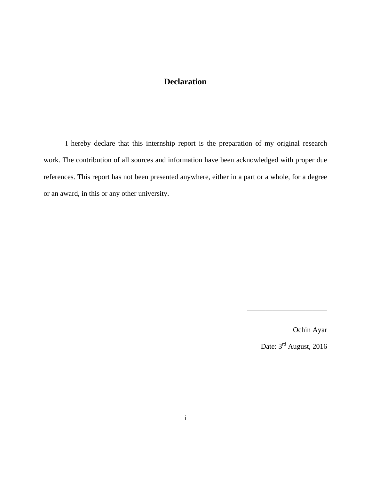### **Declaration**

I hereby declare that this internship report is the preparation of my original research work. The contribution of all sources and information have been acknowledged with proper due references. This report has not been presented anywhere, either in a part or a whole, for a degree or an award, in this or any other university.

Ochin Ayar

Date:  $3<sup>rd</sup>$  August, 2016

\_\_\_\_\_\_\_\_\_\_\_\_\_\_\_\_\_\_\_\_\_\_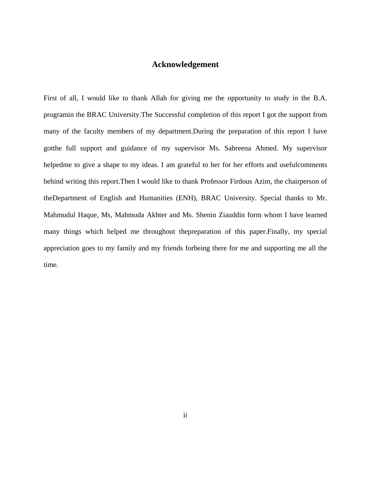### **Acknowledgement**

First of all, I would like to thank Allah for giving me the opportunity to study in the B.A. programin the BRAC University.The Successful completion of this report I got the support from many of the faculty members of my department.During the preparation of this report I have gotthe full support and guidance of my supervisor Ms. Sabreena Ahmed. My supervisor helpedme to give a shape to my ideas. I am grateful to her for her efforts and useful comments behind writing this report.Then I would like to thank Professor Firdous Azim, the chairperson of theDepartment of English and Humanities (ENH), BRAC University. Special thanks to Mr. Mahmudul Haque, Ms, Mahmuda Akhter and Ms. Shenin Ziauddin form whom I have learned many things which helped me throughout thepreparation of this paper.Finally, my special appreciation goes to my family and my friends forbeing there for me and supporting me all the time.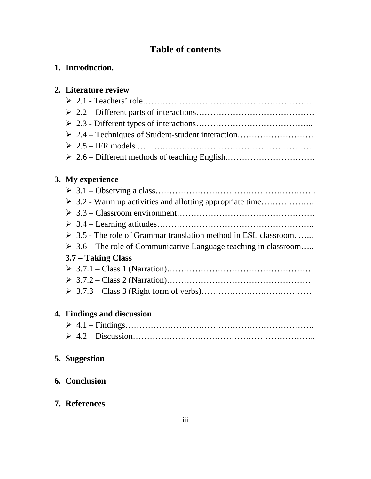# **Table of contents**

## **1. Introduction.**

# **2. Literature review**

# **3. My experience**

| $\triangleright$ 3.2 - Warm up activities and allotting appropriate time        |
|---------------------------------------------------------------------------------|
|                                                                                 |
|                                                                                 |
| $\triangleright$ 3.5 - The role of Grammar translation method in ESL classroom. |
| $\triangleright$ 3.6 – The role of Communicative Language teaching in classroom |
| 3.7 – Taking Class                                                              |
|                                                                                 |
|                                                                                 |
|                                                                                 |

# **4. Findings and discussion**

# **5. Suggestion**

# **6. Conclusion**

## **7. References**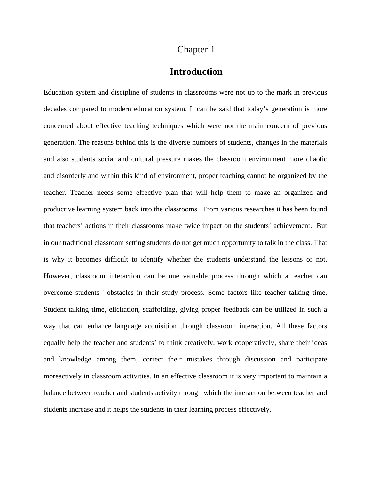### **Introduction**

Education system and discipline of students in classrooms were not up to the mark in previous decades compared to modern education system. It can be said that today's generation is more concerned about effective teaching techniques which were not the main concern of previous generation**.** The reasons behind this is the diverse numbers of students, changes in the materials and also students social and cultural pressure makes the classroom environment more chaotic and disorderly and within this kind of environment, proper teaching cannot be organized by the teacher. Teacher needs some effective plan that will help them to make an organized and productive learning system back into the classrooms. From various researches it has been found that teachers' actions in their classrooms make twice impact on the students' achievement. But in our traditional classroom setting students do not get much opportunity to talk in the class. That is why it becomes difficult to identify whether the students understand the lessons or not. However, classroom interaction can be one valuable process through which a teacher can overcome students ' obstacles in their study process. Some factors like teacher talking time, Student talking time, elicitation, scaffolding, giving proper feedback can be utilized in such a way that can enhance language acquisition through classroom interaction. All these factors equally help the teacher and students' to think creatively, work cooperatively, share their ideas and knowledge among them, correct their mistakes through discussion and participate moreactively in classroom activities. In an effective classroom it is very important to maintain a balance between teacher and students activity through which the interaction between teacher and students increase and it helps the students in their learning process effectively.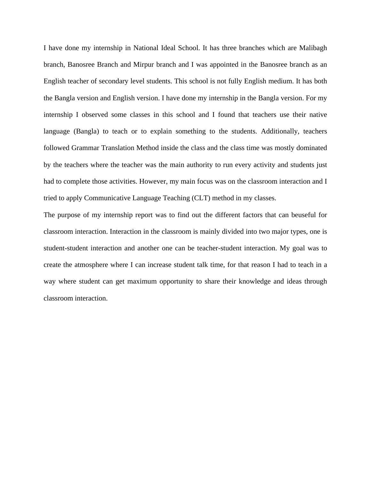I have done my internship in National Ideal School. It has three branches which are Malibagh branch, Banosree Branch and Mirpur branch and I was appointed in the Banosree branch as an English teacher of secondary level students. This school is not fully English medium. It has both the Bangla version and English version. I have done my internship in the Bangla version. For my internship I observed some classes in this school and I found that teachers use their native language (Bangla) to teach or to explain something to the students. Additionally, teachers followed Grammar Translation Method inside the class and the class time was mostly dominated by the teachers where the teacher was the main authority to run every activity and students just had to complete those activities. However, my main focus was on the classroom interaction and I tried to apply Communicative Language Teaching (CLT) method in my classes.

The purpose of my internship report was to find out the different factors that can beuseful for classroom interaction. Interaction in the classroom is mainly divided into two major types, one is student-student interaction and another one can be teacher-student interaction. My goal was to create the atmosphere where I can increase student talk time, for that reason I had to teach in a way where student can get maximum opportunity to share their knowledge and ideas through classroom interaction.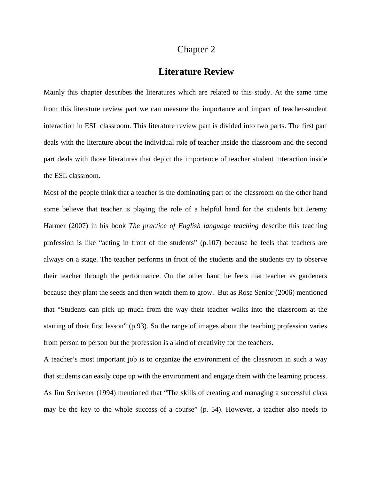### **Literature Review**

Mainly this chapter describes the literatures which are related to this study. At the same time from this literature review part we can measure the importance and impact of teacher-student interaction in ESL classroom. This literature review part is divided into two parts. The first part deals with the literature about the individual role of teacher inside the classroom and the second part deals with those literatures that depict the importance of teacher student interaction inside the ESL classroom.

Most of the people think that a teacher is the dominating part of the classroom on the other hand some believe that teacher is playing the role of a helpful hand for the students but Jeremy Harmer (2007) in his book *The practice of English language teaching* describe this teaching profession is like "acting in front of the students" (p.107) because he feels that teachers are always on a stage. The teacher performs in front of the students and the students try to observe their teacher through the performance. On the other hand he feels that teacher as gardeners because they plant the seeds and then watch them to grow. But as Rose Senior (2006) mentioned that "Students can pick up much from the way their teacher walks into the classroom at the starting of their first lesson" (p.93). So the range of images about the teaching profession varies from person to person but the profession is a kind of creativity for the teachers.

A teacher's most important job is to organize the environment of the classroom in such a way that students can easily cope up with the environment and engage them with the learning process. As Jim Scrivener (1994) mentioned that "The skills of creating and managing a successful class may be the key to the whole success of a course" (p. 54). However, a teacher also needs to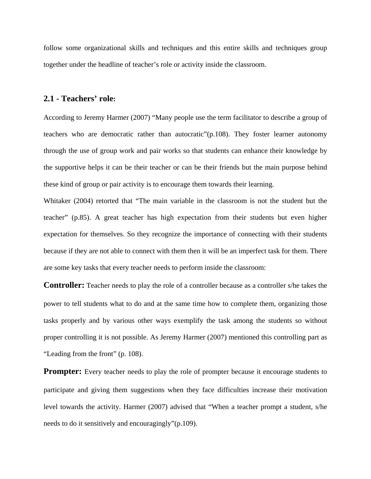follow some organizational skills and techniques and this entire skills and techniques group together under the headline of teacher's role or activity inside the classroom.

### **2.1 - Teachers' role:**

According to Jeremy Harmer (2007) "Many people use the term facilitator to describe a group of teachers who are democratic rather than autocratic  $\Gamma(p,108)$ . They foster learner autonomy through the use of group work and pair works so that students can enhance their knowledge by the supportive helps it can be their teacher or can be their friends but the main purpose behind these kind of group or pair activity is to encourage them towards their learning.

Whitaker (2004) retorted that "The main variable in the classroom is not the student but the teacher" (p.85). A great teacher has high expectation from their students but even higher expectation for themselves. So they recognize the importance of connecting with their students because if they are not able to connect with them then it will be an imperfect task for them. There are some key tasks that every teacher needs to perform inside the classroom:

**Controller:** Teacher needs to play the role of a controller because as a controller s/he takes the power to tell students what to do and at the same time how to complete them, organizing those tasks properly and by various other ways exemplify the task among the students so without proper controlling it is not possible. As Jeremy Harmer (2007) mentioned this controlling part as "Leading from the front" (p. 108).

**Prompter:** Every teacher needs to play the role of prompter because it encourage students to participate and giving them suggestions when they face difficulties increase their motivation level towards the activity. Harmer (2007) advised that "When a teacher prompt a student, s/he needs to do it sensitively and encouragingly"(p.109).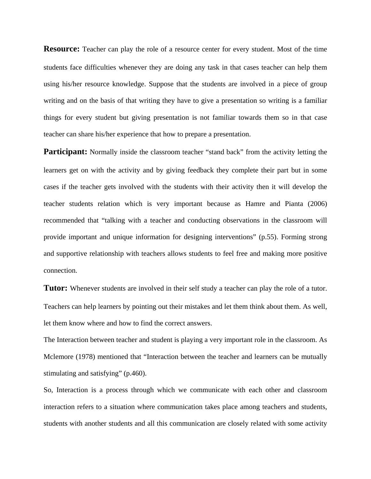**Resource:** Teacher can play the role of a resource center for every student. Most of the time students face difficulties whenever they are doing any task in that cases teacher can help them using his/her resource knowledge. Suppose that the students are involved in a piece of group writing and on the basis of that writing they have to give a presentation so writing is a familiar things for every student but giving presentation is not familiar towards them so in that case teacher can share his/her experience that how to prepare a presentation.

**Participant:** Normally inside the classroom teacher "stand back" from the activity letting the learners get on with the activity and by giving feedback they complete their part but in some cases if the teacher gets involved with the students with their activity then it will develop the teacher students relation which is very important because as Hamre and Pianta (2006) recommended that "talking with a teacher and conducting observations in the classroom will provide important and unique information for designing interventions" (p.55). Forming strong and supportive relationship with teachers allows students to feel free and making more positive connection.

**Tutor:** Whenever students are involved in their self study a teacher can play the role of a tutor. Teachers can help learners by pointing out their mistakes and let them think about them. As well, let them know where and how to find the correct answers.

The Interaction between teacher and student is playing a very important role in the classroom. As Mclemore (1978) mentioned that "Interaction between the teacher and learners can be mutually stimulating and satisfying" (p.460).

So, Interaction is a process through which we communicate with each other and classroom interaction refers to a situation where communication takes place among teachers and students, students with another students and all this communication are closely related with some activity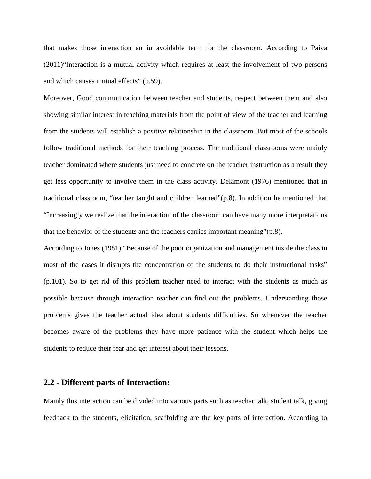that makes those interaction an in avoidable term for the classroom. According to Paiva (2011)"Interaction is a mutual activity which requires at least the involvement of two persons and which causes mutual effects" (p.59).

Moreover, Good communication between teacher and students, respect between them and also showing similar interest in teaching materials from the point of view of the teacher and learning from the students will establish a positive relationship in the classroom. But most of the schools follow traditional methods for their teaching process. The traditional classrooms were mainly teacher dominated where students just need to concrete on the teacher instruction as a result they get less opportunity to involve them in the class activity. Delamont (1976) mentioned that in traditional classroom, "teacher taught and children learned"(p.8). In addition he mentioned that "Increasingly we realize that the interaction of the classroom can have many more interpretations that the behavior of the students and the teachers carries important meaning"(p.8).

According to Jones (1981) "Because of the poor organization and management inside the class in most of the cases it disrupts the concentration of the students to do their instructional tasks" (p.101). So to get rid of this problem teacher need to interact with the students as much as possible because through interaction teacher can find out the problems. Understanding those problems gives the teacher actual idea about students difficulties. So whenever the teacher becomes aware of the problems they have more patience with the student which helps the students to reduce their fear and get interest about their lessons.

#### **2.2 - Different parts of Interaction:**

Mainly this interaction can be divided into various parts such as teacher talk, student talk, giving feedback to the students, elicitation, scaffolding are the key parts of interaction. According to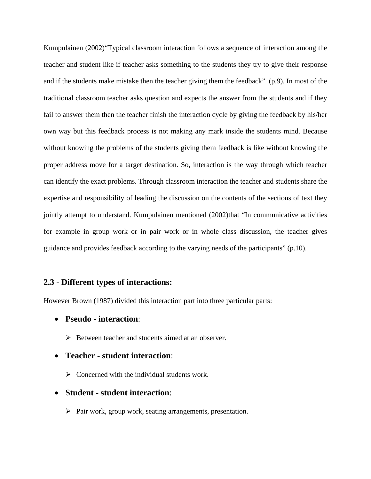Kumpulainen (2002)"Typical classroom interaction follows a sequence of interaction among the teacher and student like if teacher asks something to the students they try to give their response and if the students make mistake then the teacher giving them the feedback" (p.9). In most of the traditional classroom teacher asks question and expects the answer from the students and if they fail to answer them then the teacher finish the interaction cycle by giving the feedback by his/her own way but this feedback process is not making any mark inside the students mind. Because without knowing the problems of the students giving them feedback is like without knowing the proper address move for a target destination. So, interaction is the way through which teacher can identify the exact problems. Through classroom interaction the teacher and students share the expertise and responsibility of leading the discussion on the contents of the sections of text they jointly attempt to understand. Kumpulainen mentioned (2002)that "In communicative activities for example in group work or in pair work or in whole class discussion, the teacher gives guidance and provides feedback according to the varying needs of the participants" (p.10).

### **2.3 - Different types of interactions:**

However Brown (1987) divided this interaction part into three particular parts:

- **Pseudo interaction**:
	- $\triangleright$  Between teacher and students aimed at an observer.
- **Teacher student interaction**:
	- $\triangleright$  Concerned with the individual students work.
- **Student student interaction**:
	- $\triangleright$  Pair work, group work, seating arrangements, presentation.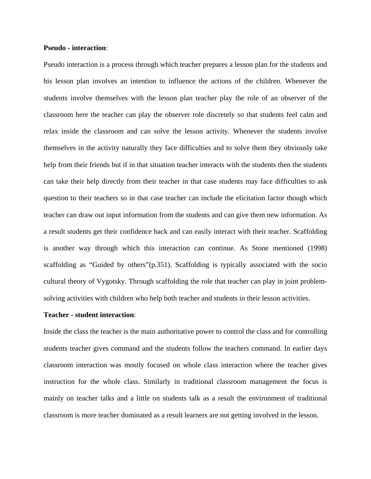#### **Pseudo - interaction**:

Pseudo interaction is a process through which teacher prepares a lesson plan for the students and his lesson plan involves an intention to influence the actions of the children. Whenever the students involve themselves with the lesson plan teacher play the role of an observer of the classroom here the teacher can play the observer role discretely so that students feel calm and relax inside the classroom and can solve the lesson activity. Whenever the students involve themselves in the activity naturally they face difficulties and to solve them they obviously take help from their friends but if in that situation teacher interacts with the students then the students can take their help directly from their teacher in that case students may face difficulties to ask question to their teachers so in that case teacher can include the elicitation factor though which teacher can draw out input information from the students and can give them new information. As a result students get their confidence back and can easily interact with their teacher. Scaffolding is another way through which this interaction can continue. As Stone mentioned (1998) scaffolding as "Guided by others"(p.351). Scaffolding is typically associated with the socio cultural theory of Vygotsky. Through scaffolding the role that teacher can play in joint problemsolving activities with children who help both teacher and students in their lesson activities.

#### **Teacher - student interaction**:

Inside the class the teacher is the main authoritative power to control the class and for controlling students teacher gives command and the students follow the teachers command. In earlier days classroom interaction was mostly focused on whole class interaction where the teacher gives instruction for the whole class. Similarly in traditional classroom management the focus is mainly on teacher talks and a little on students talk as a result the environment of traditional classroom is more teacher dominated as a result learners are not getting involved in the lesson.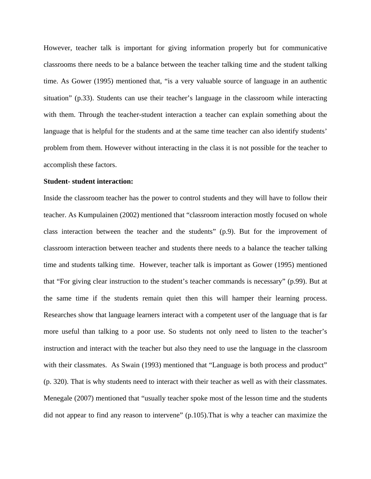However, teacher talk is important for giving information properly but for communicative classrooms there needs to be a balance between the teacher talking time and the student talking time. As Gower (1995) mentioned that, "is a very valuable source of language in an authentic situation" (p.33). Students can use their teacher's language in the classroom while interacting with them. Through the teacher-student interaction a teacher can explain something about the language that is helpful for the students and at the same time teacher can also identify students' problem from them. However without interacting in the class it is not possible for the teacher to accomplish these factors.

#### **Student- student interaction:**

Inside the classroom teacher has the power to control students and they will have to follow their teacher. As Kumpulainen (2002) mentioned that "classroom interaction mostly focused on whole class interaction between the teacher and the students" (p.9). But for the improvement of classroom interaction between teacher and students there needs to a balance the teacher talking time and students talking time. However, teacher talk is important as Gower (1995) mentioned that "For giving clear instruction to the student's teacher commands is necessary" (p.99). But at the same time if the students remain quiet then this will hamper their learning process. Researches show that language learners interact with a competent user of the language that is far more useful than talking to a poor use. So students not only need to listen to the teacher's instruction and interact with the teacher but also they need to use the language in the classroom with their classmates. As Swain (1993) mentioned that "Language is both process and product" (p. 320). That is why students need to interact with their teacher as well as with their classmates. Menegale (2007) mentioned that "usually teacher spoke most of the lesson time and the students did not appear to find any reason to intervene" (p.105).That is why a teacher can maximize the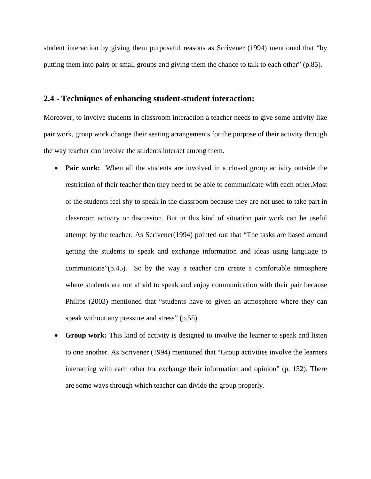student interaction by giving them purposeful reasons as Scrivener (1994) mentioned that "by putting them into pairs or small groups and giving them the chance to talk to each other" (p.85).

### **2.4 - Techniques of enhancing student-student interaction:**

Moreover, to involve students in classroom interaction a teacher needs to give some activity like pair work, group work change their seating arrangements for the purpose of their activity through the way teacher can involve the students interact among them.

- **Pair work:** When all the students are involved in a closed group activity outside the restriction of their teacher then they need to be able to communicate with each other.Most of the students feel shy to speak in the classroom because they are not used to take part in classroom activity or discussion. But in this kind of situation pair work can be useful attempt by the teacher. As Scrivener(1994) pointed out that "The tasks are based around getting the students to speak and exchange information and ideas using language to communicate"(p.45). So by the way a teacher can create a comfortable atmosphere where students are not afraid to speak and enjoy communication with their pair because Philips (2003) mentioned that "students have to given an atmosphere where they can speak without any pressure and stress" (p.55).
- **Group work:** This kind of activity is designed to involve the learner to speak and listen to one another. As Scrivener (1994) mentioned that "Group activities involve the learners interacting with each other for exchange their information and opinion" (p. 152). There are some ways through which teacher can divide the group properly.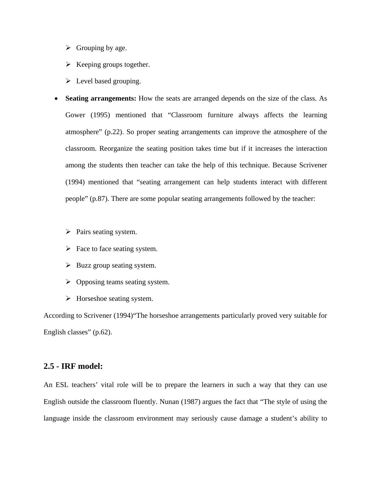- $\triangleright$  Grouping by age.
- $\triangleright$  Keeping groups together.
- $\triangleright$  Level based grouping.
- **Seating arrangements:** How the seats are arranged depends on the size of the class. As Gower (1995) mentioned that "Classroom furniture always affects the learning atmosphere" (p.22). So proper seating arrangements can improve the atmosphere of the classroom. Reorganize the seating position takes time but if it increases the interaction among the students then teacher can take the help of this technique. Because Scrivener (1994) mentioned that "seating arrangement can help students interact with different people" (p.87). There are some popular seating arrangements followed by the teacher:
	- $\triangleright$  Pairs seating system.
	- $\triangleright$  Face to face seating system.
	- $\triangleright$  Buzz group seating system.
	- $\triangleright$  Opposing teams seating system.
	- $\triangleright$  Horseshoe seating system.

According to Scrivener (1994)"The horseshoe arrangements particularly proved very suitable for English classes" (p.62).

### **2.5 - IRF model:**

An ESL teachers' vital role will be to prepare the learners in such a way that they can use English outside the classroom fluently. Nunan (1987) argues the fact that "The style of using the language inside the classroom environment may seriously cause damage a student's ability to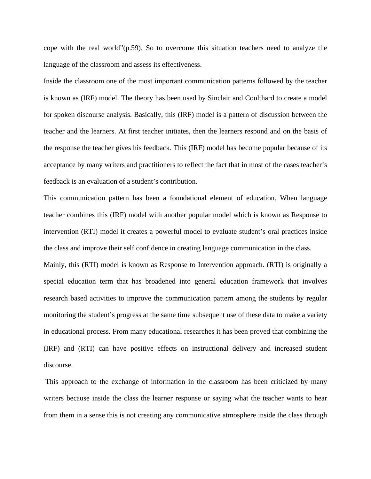cope with the real world"(p.59). So to overcome this situation teachers need to analyze the language of the classroom and assess its effectiveness.

Inside the classroom one of the most important communication patterns followed by the teacher is known as (IRF) model. The theory has been used by Sinclair and Coulthard to create a model for spoken discourse analysis. Basically, this (IRF) model is a pattern of discussion between the teacher and the learners. At first teacher initiates, then the learners respond and on the basis of the response the teacher gives his feedback. This (IRF) model has become popular because of its acceptance by many writers and practitioners to reflect the fact that in most of the cases teacher's feedback is an evaluation of a student's contribution.

This communication pattern has been a foundational element of education. When language teacher combines this (IRF) model with another popular model which is known as Response to intervention (RTI) model it creates a powerful model to evaluate student's oral practices inside the class and improve their self confidence in creating language communication in the class.

Mainly, this (RTI) model is known as Response to Intervention approach. (RTI) is originally a special education term that has broadened into general education framework that involves research based activities to improve the communication pattern among the students by regular monitoring the student's progress at the same time subsequent use of these data to make a variety in educational process. From many educational researches it has been proved that combining the (IRF) and (RTI) can have positive effects on instructional delivery and increased student discourse.

 This approach to the exchange of information in the classroom has been criticized by many writers because inside the class the learner response or saying what the teacher wants to hear from them in a sense this is not creating any communicative atmosphere inside the class through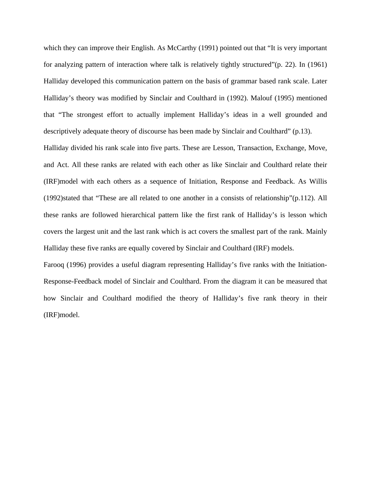which they can improve their English. As McCarthy (1991) pointed out that "It is very important for analyzing pattern of interaction where talk is relatively tightly structured"(p. 22). In (1961) Halliday developed this communication pattern on the basis of grammar based rank scale. Later Halliday's theory was modified by Sinclair and Coulthard in (1992). Malouf (1995) mentioned that "The strongest effort to actually implement Halliday's ideas in a well grounded and descriptively adequate theory of discourse has been made by Sinclair and Coulthard" (p.13).

Halliday divided his rank scale into five parts. These are Lesson, Transaction, Exchange, Move, and Act. All these ranks are related with each other as like Sinclair and Coulthard relate their (IRF)model with each others as a sequence of Initiation, Response and Feedback. As Willis (1992)stated that "These are all related to one another in a consists of relationship"(p.112). All these ranks are followed hierarchical pattern like the first rank of Halliday's is lesson which covers the largest unit and the last rank which is act covers the smallest part of the rank. Mainly Halliday these five ranks are equally covered by Sinclair and Coulthard (IRF) models.

Farooq (1996) provides a useful diagram representing Halliday's five ranks with the Initiation-Response-Feedback model of Sinclair and Coulthard. From the diagram it can be measured that how Sinclair and Coulthard modified the theory of Halliday's five rank theory in their (IRF)model.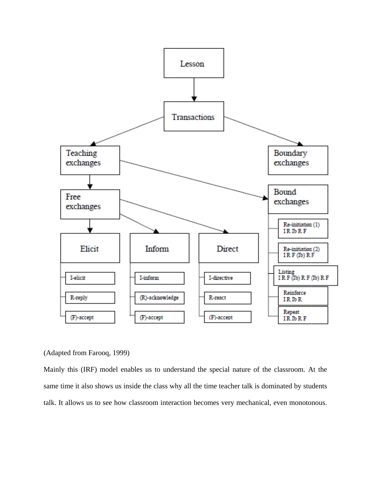

(Adapted from Farooq, 1999)

Mainly this (IRF) model enables us to understand the special nature of the classroom. At the same time it also shows us inside the class why all the time teacher talk is dominated by students talk. It allows us to see how classroom interaction becomes very mechanical, even monotonous.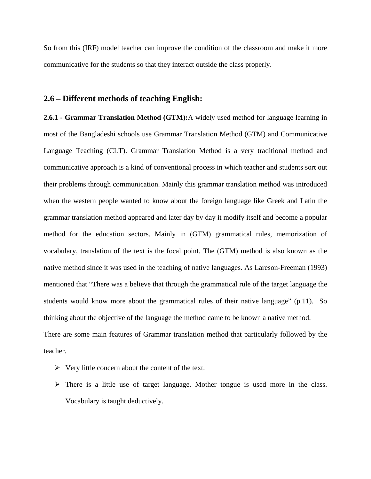So from this (IRF) model teacher can improve the condition of the classroom and make it more communicative for the students so that they interact outside the class properly.

#### **2.6 – Different methods of teaching English:**

**2.6.1 - Grammar Translation Method (GTM):**A widely used method for language learning in most of the Bangladeshi schools use Grammar Translation Method (GTM) and Communicative Language Teaching (CLT). Grammar Translation Method is a very traditional method and communicative approach is a kind of conventional process in which teacher and students sort out their problems through communication. Mainly this grammar translation method was introduced when the western people wanted to know about the foreign language like Greek and Latin the grammar translation method appeared and later day by day it modify itself and become a popular method for the education sectors. Mainly in (GTM) grammatical rules, memorization of vocabulary, translation of the text is the focal point. The (GTM) method is also known as the native method since it was used in the teaching of native languages. As Lareson-Freeman (1993) mentioned that "There was a believe that through the grammatical rule of the target language the students would know more about the grammatical rules of their native language" (p.11). So thinking about the objective of the language the method came to be known a native method. There are some main features of Grammar translation method that particularly followed by the teacher.

- $\triangleright$  Very little concern about the content of the text.
- $\triangleright$  There is a little use of target language. Mother tongue is used more in the class. Vocabulary is taught deductively.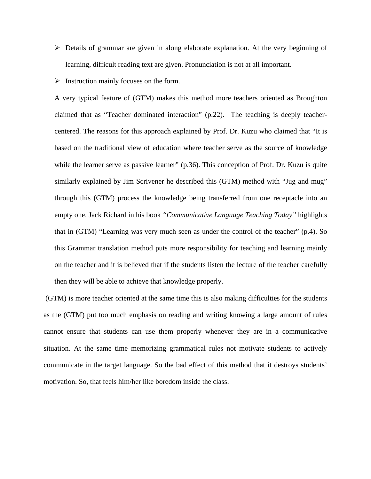- $\triangleright$  Details of grammar are given in along elaborate explanation. At the very beginning of learning, difficult reading text are given. Pronunciation is not at all important.
- $\triangleright$  Instruction mainly focuses on the form.

A very typical feature of (GTM) makes this method more teachers oriented as Broughton claimed that as "Teacher dominated interaction" (p.22). The teaching is deeply teachercentered. The reasons for this approach explained by Prof. Dr. Kuzu who claimed that "It is based on the traditional view of education where teacher serve as the source of knowledge while the learner serve as passive learner" (p.36). This conception of Prof. Dr. Kuzu is quite similarly explained by Jim Scrivener he described this (GTM) method with "Jug and mug" through this (GTM) process the knowledge being transferred from one receptacle into an empty one. Jack Richard in his book *"Communicative Language Teaching Today"* highlights that in (GTM) "Learning was very much seen as under the control of the teacher" (p.4). So this Grammar translation method puts more responsibility for teaching and learning mainly on the teacher and it is believed that if the students listen the lecture of the teacher carefully then they will be able to achieve that knowledge properly.

 (GTM) is more teacher oriented at the same time this is also making difficulties for the students as the (GTM) put too much emphasis on reading and writing knowing a large amount of rules cannot ensure that students can use them properly whenever they are in a communicative situation. At the same time memorizing grammatical rules not motivate students to actively communicate in the target language. So the bad effect of this method that it destroys students' motivation. So, that feels him/her like boredom inside the class.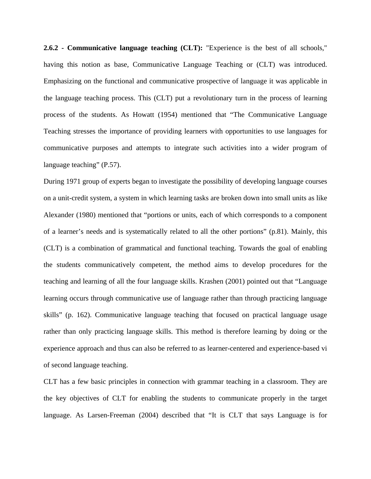**2.6.2 - Communicative language teaching (CLT):** "Experience is the best of all schools," having this notion as base, Communicative Language Teaching or (CLT) was introduced. Emphasizing on the functional and communicative prospective of language it was applicable in the language teaching process. This (CLT) put a revolutionary turn in the process of learning process of the students. As Howatt (1954) mentioned that "The Communicative Language Teaching stresses the importance of providing learners with opportunities to use languages for communicative purposes and attempts to integrate such activities into a wider program of language teaching" (P.57).

During 1971 group of experts began to investigate the possibility of developing language courses on a unit-credit system, a system in which learning tasks are broken down into small units as like Alexander (1980) mentioned that "portions or units, each of which corresponds to a component of a learner's needs and is systematically related to all the other portions" (p.81). Mainly, this (CLT) is a combination of grammatical and functional teaching. Towards the goal of enabling the students communicatively competent, the method aims to develop procedures for the teaching and learning of all the four language skills. Krashen (2001) pointed out that "Language learning occurs through communicative use of language rather than through practicing language skills" (p. 162). Communicative language teaching that focused on practical language usage rather than only practicing language skills. This method is therefore learning by doing or the experience approach and thus can also be referred to as learner-centered and experience-based vi of second language teaching.

CLT has a few basic principles in connection with grammar teaching in a classroom. They are the key objectives of CLT for enabling the students to communicate properly in the target language. As Larsen-Freeman (2004) described that "It is CLT that says Language is for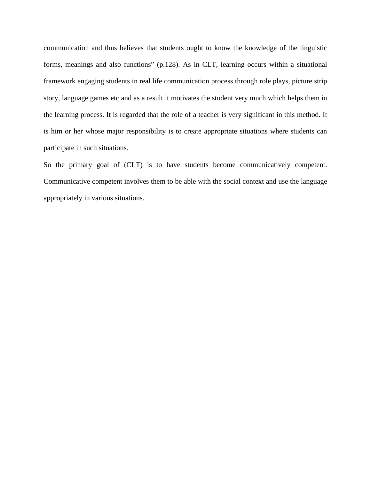communication and thus believes that students ought to know the knowledge of the linguistic forms, meanings and also functions" (p.128). As in CLT, learning occurs within a situational framework engaging students in real life communication process through role plays, picture strip story, language games etc and as a result it motivates the student very much which helps them in the learning process. It is regarded that the role of a teacher is very significant in this method. It is him or her whose major responsibility is to create appropriate situations where students can participate in such situations.

So the primary goal of (CLT) is to have students become communicatively competent. Communicative competent involves them to be able with the social context and use the language appropriately in various situations.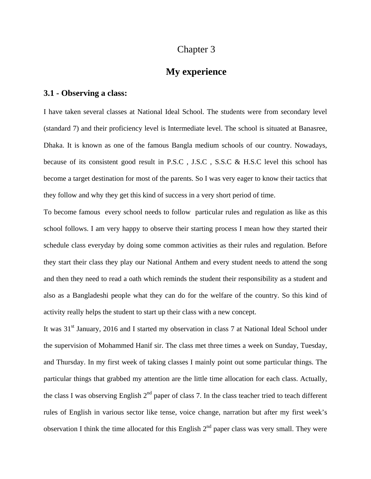## **My experience**

### **3.1 - Observing a class:**

I have taken several classes at National Ideal School. The students were from secondary level (standard 7) and their proficiency level is Intermediate level. The school is situated at Banasree, Dhaka. It is known as one of the famous Bangla medium schools of our country. Nowadays, because of its consistent good result in P.S.C , J.S.C , S.S.C & H.S.C level this school has become a target destination for most of the parents. So I was very eager to know their tactics that they follow and why they get this kind of success in a very short period of time.

To become famous every school needs to follow particular rules and regulation as like as this school follows. I am very happy to observe their starting process I mean how they started their schedule class everyday by doing some common activities as their rules and regulation. Before they start their class they play our National Anthem and every student needs to attend the song and then they need to read a oath which reminds the student their responsibility as a student and also as a Bangladeshi people what they can do for the welfare of the country. So this kind of activity really helps the student to start up their class with a new concept.

It was 31<sup>st</sup> January, 2016 and I started my observation in class 7 at National Ideal School under the supervision of Mohammed Hanif sir. The class met three times a week on Sunday, Tuesday, and Thursday. In my first week of taking classes I mainly point out some particular things. The particular things that grabbed my attention are the little time allocation for each class. Actually, the class I was observing English  $2<sup>nd</sup>$  paper of class 7. In the class teacher tried to teach different rules of English in various sector like tense, voice change, narration but after my first week's observation I think the time allocated for this English  $2<sup>nd</sup>$  paper class was very small. They were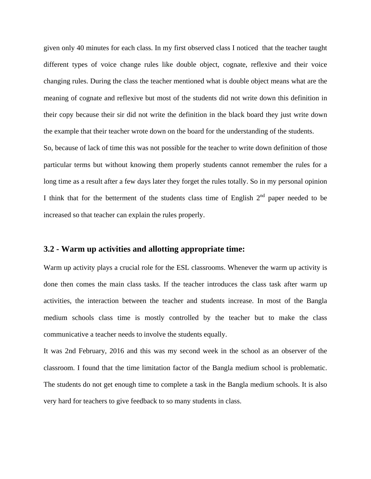given only 40 minutes for each class. In my first observed class I noticed that the teacher taught different types of voice change rules like double object, cognate, reflexive and their voice changing rules. During the class the teacher mentioned what is double object means what are the meaning of cognate and reflexive but most of the students did not write down this definition in their copy because their sir did not write the definition in the black board they just write down the example that their teacher wrote down on the board for the understanding of the students.

So, because of lack of time this was not possible for the teacher to write down definition of those particular terms but without knowing them properly students cannot remember the rules for a long time as a result after a few days later they forget the rules totally. So in my personal opinion I think that for the betterment of the students class time of English  $2<sup>nd</sup>$  paper needed to be increased so that teacher can explain the rules properly.

### **3.2 - Warm up activities and allotting appropriate time:**

Warm up activity plays a crucial role for the ESL classrooms. Whenever the warm up activity is done then comes the main class tasks. If the teacher introduces the class task after warm up activities, the interaction between the teacher and students increase. In most of the Bangla medium schools class time is mostly controlled by the teacher but to make the class communicative a teacher needs to involve the students equally.

It was 2nd February, 2016 and this was my second week in the school as an observer of the classroom. I found that the time limitation factor of the Bangla medium school is problematic. The students do not get enough time to complete a task in the Bangla medium schools. It is also very hard for teachers to give feedback to so many students in class.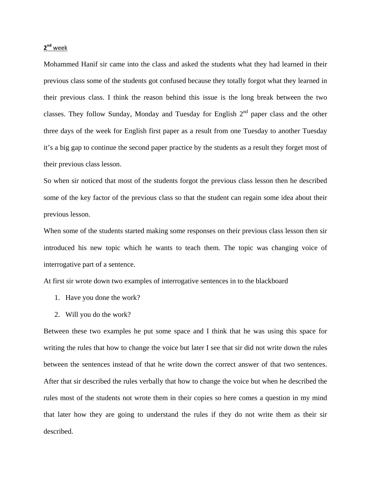#### **2nd** week

Mohammed Hanif sir came into the class and asked the students what they had learned in their previous class some of the students got confused because they totally forgot what they learned in their previous class. I think the reason behind this issue is the long break between the two classes. They follow Sunday, Monday and Tuesday for English  $2<sup>nd</sup>$  paper class and the other three days of the week for English first paper as a result from one Tuesday to another Tuesday it's a big gap to continue the second paper practice by the students as a result they forget most of their previous class lesson.

So when sir noticed that most of the students forgot the previous class lesson then he described some of the key factor of the previous class so that the student can regain some idea about their previous lesson.

When some of the students started making some responses on their previous class lesson then sir introduced his new topic which he wants to teach them. The topic was changing voice of interrogative part of a sentence.

At first sir wrote down two examples of interrogative sentences in to the blackboard

- 1. Have you done the work?
- 2. Will you do the work?

Between these two examples he put some space and I think that he was using this space for writing the rules that how to change the voice but later I see that sir did not write down the rules between the sentences instead of that he write down the correct answer of that two sentences. After that sir described the rules verbally that how to change the voice but when he described the rules most of the students not wrote them in their copies so here comes a question in my mind that later how they are going to understand the rules if they do not write them as their sir described.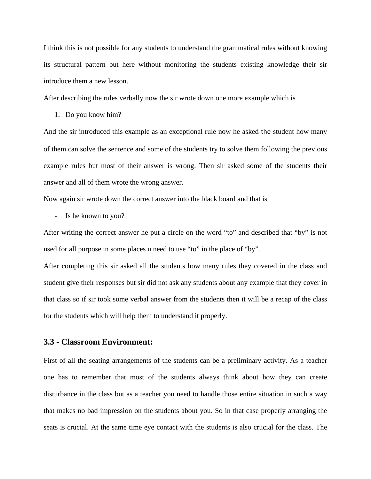I think this is not possible for any students to understand the grammatical rules without knowing its structural pattern but here without monitoring the students existing knowledge their sir introduce them a new lesson.

After describing the rules verbally now the sir wrote down one more example which is

1. Do you know him?

And the sir introduced this example as an exceptional rule now he asked the student how many of them can solve the sentence and some of the students try to solve them following the previous example rules but most of their answer is wrong. Then sir asked some of the students their answer and all of them wrote the wrong answer.

Now again sir wrote down the correct answer into the black board and that is

- Is he known to you?

After writing the correct answer he put a circle on the word "to" and described that "by" is not used for all purpose in some places u need to use "to" in the place of "by".

After completing this sir asked all the students how many rules they covered in the class and student give their responses but sir did not ask any students about any example that they cover in that class so if sir took some verbal answer from the students then it will be a recap of the class for the students which will help them to understand it properly.

### **3.3 - Classroom Environment:**

First of all the seating arrangements of the students can be a preliminary activity. As a teacher one has to remember that most of the students always think about how they can create disturbance in the class but as a teacher you need to handle those entire situation in such a way that makes no bad impression on the students about you. So in that case properly arranging the seats is crucial. At the same time eye contact with the students is also crucial for the class. The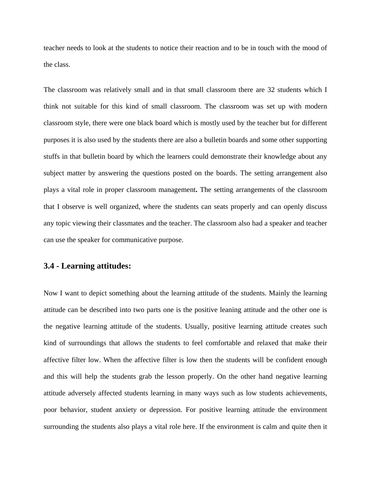teacher needs to look at the students to notice their reaction and to be in touch with the mood of the class.

The classroom was relatively small and in that small classroom there are 32 students which I think not suitable for this kind of small classroom. The classroom was set up with modern classroom style, there were one black board which is mostly used by the teacher but for different purposes it is also used by the students there are also a bulletin boards and some other supporting stuffs in that bulletin board by which the learners could demonstrate their knowledge about any subject matter by answering the questions posted on the boards. The setting arrangement also plays a vital role in proper classroom management**.** The setting arrangements of the classroom that I observe is well organized, where the students can seats properly and can openly discuss any topic viewing their classmates and the teacher. The classroom also had a speaker and teacher can use the speaker for communicative purpose.

### **3.4 - Learning attitudes:**

Now I want to depict something about the learning attitude of the students. Mainly the learning attitude can be described into two parts one is the positive leaning attitude and the other one is the negative learning attitude of the students. Usually, positive learning attitude creates such kind of surroundings that allows the students to feel comfortable and relaxed that make their affective filter low. When the affective filter is low then the students will be confident enough and this will help the students grab the lesson properly. On the other hand negative learning attitude adversely affected students learning in many ways such as low students achievements, poor behavior, student anxiety or depression. For positive learning attitude the environment surrounding the students also plays a vital role here. If the environment is calm and quite then it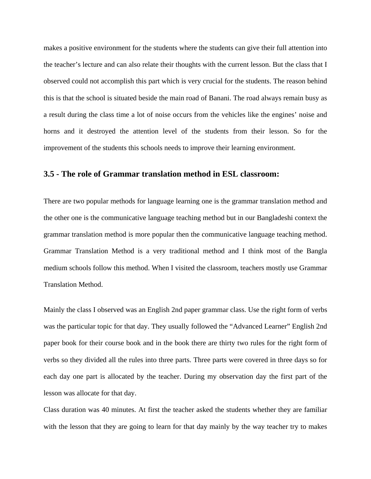makes a positive environment for the students where the students can give their full attention into the teacher's lecture and can also relate their thoughts with the current lesson. But the class that I observed could not accomplish this part which is very crucial for the students. The reason behind this is that the school is situated beside the main road of Banani. The road always remain busy as a result during the class time a lot of noise occurs from the vehicles like the engines' noise and horns and it destroyed the attention level of the students from their lesson. So for the improvement of the students this schools needs to improve their learning environment.

#### **3.5 - The role of Grammar translation method in ESL classroom:**

There are two popular methods for language learning one is the grammar translation method and the other one is the communicative language teaching method but in our Bangladeshi context the grammar translation method is more popular then the communicative language teaching method. Grammar Translation Method is a very traditional method and I think most of the Bangla medium schools follow this method. When I visited the classroom, teachers mostly use Grammar Translation Method.

Mainly the class I observed was an English 2nd paper grammar class. Use the right form of verbs was the particular topic for that day. They usually followed the "Advanced Learner" English 2nd paper book for their course book and in the book there are thirty two rules for the right form of verbs so they divided all the rules into three parts. Three parts were covered in three days so for each day one part is allocated by the teacher. During my observation day the first part of the lesson was allocate for that day.

Class duration was 40 minutes. At first the teacher asked the students whether they are familiar with the lesson that they are going to learn for that day mainly by the way teacher try to makes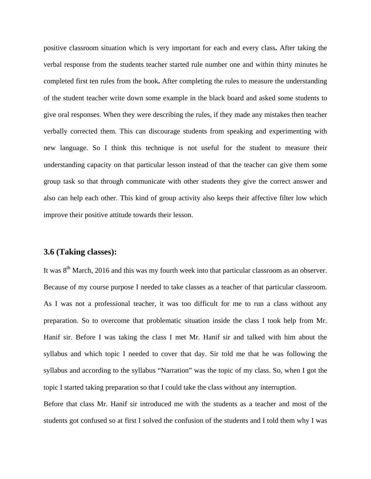positive classroom situation which is very important for each and every class**.** After taking the verbal response from the students teacher started rule number one and within thirty minutes he completed first ten rules from the book**.** After completing the rules to measure the understanding of the student teacher write down some example in the black board and asked some students to give oral responses. When they were describing the rules, if they made any mistakes then teacher verbally corrected them. This can discourage students from speaking and experimenting with new language. So I think this technique is not useful for the student to measure their understanding capacity on that particular lesson instead of that the teacher can give them some group task so that through communicate with other students they give the correct answer and also can help each other. This kind of group activity also keeps their affective filter low which improve their positive attitude towards their lesson.

#### **3.6 (Taking classes):**

It was 8<sup>th</sup> March, 2016 and this was my fourth week into that particular classroom as an observer. Because of my course purpose I needed to take classes as a teacher of that particular classroom. As I was not a professional teacher, it was too difficult for me to run a class without any preparation. So to overcome that problematic situation inside the class I took help from Mr. Hanif sir. Before I was taking the class I met Mr. Hanif sir and talked with him about the syllabus and which topic I needed to cover that day. Sir told me that he was following the syllabus and according to the syllabus "Narration" was the topic of my class. So, when I got the topic I started taking preparation so that I could take the class without any interruption.

Before that class Mr. Hanif sir introduced me with the students as a teacher and most of the students got confused so at first I solved the confusion of the students and I told them why I was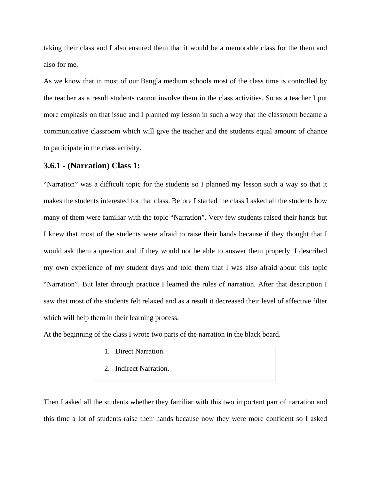taking their class and I also ensured them that it would be a memorable class for the them and also for me.

As we know that in most of our Bangla medium schools most of the class time is controlled by the teacher as a result students cannot involve them in the class activities. So as a teacher I put more emphasis on that issue and I planned my lesson in such a way that the classroom became a communicative classroom which will give the teacher and the students equal amount of chance to participate in the class activity.

### **3.6.1 - (Narration) Class 1:**

"Narration" was a difficult topic for the students so I planned my lesson such a way so that it makes the students interested for that class. Before I started the class I asked all the students how many of them were familiar with the topic "Narration". Very few students raised their hands but I knew that most of the students were afraid to raise their hands because if they thought that I would ask them a question and if they would not be able to answer them properly. I described my own experience of my student days and told them that I was also afraid about this topic "Narration". But later through practice I learned the rules of narration. After that description I saw that most of the students felt relaxed and as a result it decreased their level of affective filter which will help them in their learning process.

At the beginning of the class I wrote two parts of the narration in the black board.

| 1. Direct Narration.   |  |
|------------------------|--|
| 2. Indirect Narration. |  |

Then I asked all the students whether they familiar with this two important part of narration and this time a lot of students raise their hands because now they were more confident so I asked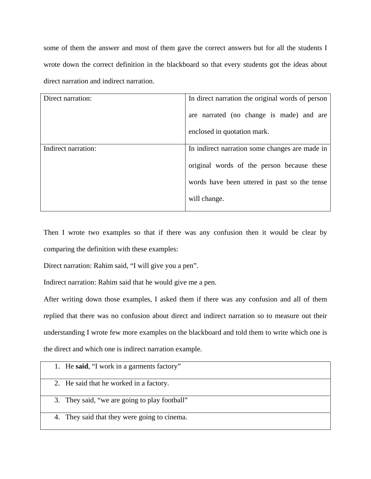some of them the answer and most of them gave the correct answers but for all the students I wrote down the correct definition in the blackboard so that every students got the ideas about direct narration and indirect narration.

| Direct narration:<br>In direct narration the original words of person |                                                |  |
|-----------------------------------------------------------------------|------------------------------------------------|--|
|                                                                       |                                                |  |
|                                                                       |                                                |  |
|                                                                       |                                                |  |
|                                                                       | are narrated (no change is made) and are       |  |
|                                                                       |                                                |  |
|                                                                       |                                                |  |
|                                                                       | enclosed in quotation mark.                    |  |
|                                                                       |                                                |  |
|                                                                       |                                                |  |
| Indirect narration:                                                   | In indirect narration some changes are made in |  |
|                                                                       |                                                |  |
|                                                                       |                                                |  |
|                                                                       |                                                |  |
|                                                                       | original words of the person because these     |  |
|                                                                       |                                                |  |
|                                                                       |                                                |  |
|                                                                       | words have been uttered in past so the tense   |  |
|                                                                       |                                                |  |
|                                                                       |                                                |  |
|                                                                       | will change.                                   |  |
|                                                                       |                                                |  |
|                                                                       |                                                |  |
|                                                                       |                                                |  |

Then I wrote two examples so that if there was any confusion then it would be clear by comparing the definition with these examples:

Direct narration: Rahim said, "I will give you a pen".

Indirect narration: Rahim said that he would give me a pen.

After writing down those examples, I asked them if there was any confusion and all of them replied that there was no confusion about direct and indirect narration so to measure out their understanding I wrote few more examples on the blackboard and told them to write which one is the direct and which one is indirect narration example.

| 1. He said, "I work in a garments factory"    |
|-----------------------------------------------|
| 2. He said that he worked in a factory.       |
| 3. They said, "we are going to play football" |
| 4. They said that they were going to cinema.  |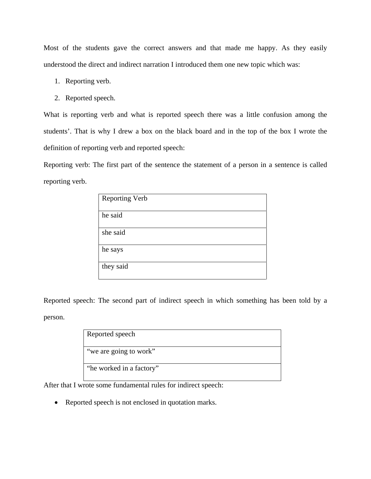Most of the students gave the correct answers and that made me happy. As they easily understood the direct and indirect narration I introduced them one new topic which was:

- 1. Reporting verb.
- 2. Reported speech.

What is reporting verb and what is reported speech there was a little confusion among the students'. That is why I drew a box on the black board and in the top of the box I wrote the definition of reporting verb and reported speech:

Reporting verb: The first part of the sentence the statement of a person in a sentence is called reporting verb.

| <b>Reporting Verb</b> |
|-----------------------|
| he said               |
| she said              |
| he says               |
| they said             |

Reported speech: The second part of indirect speech in which something has been told by a person.

| Reported speech          |
|--------------------------|
| "we are going to work"   |
| "he worked in a factory" |

After that I wrote some fundamental rules for indirect speech:

• Reported speech is not enclosed in quotation marks.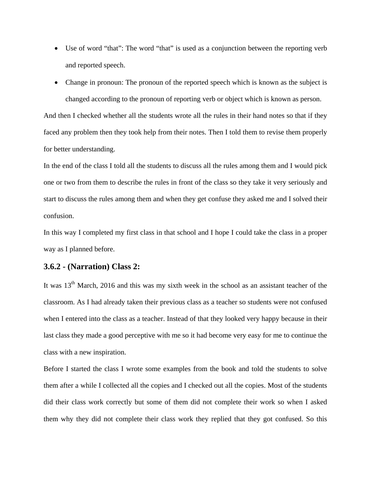- Use of word "that": The word "that" is used as a conjunction between the reporting verb and reported speech.
- Change in pronoun: The pronoun of the reported speech which is known as the subject is changed according to the pronoun of reporting verb or object which is known as person.

And then I checked whether all the students wrote all the rules in their hand notes so that if they faced any problem then they took help from their notes. Then I told them to revise them properly for better understanding.

In the end of the class I told all the students to discuss all the rules among them and I would pick one or two from them to describe the rules in front of the class so they take it very seriously and start to discuss the rules among them and when they get confuse they asked me and I solved their confusion.

In this way I completed my first class in that school and I hope I could take the class in a proper way as I planned before.

### **3.6.2 - (Narration) Class 2:**

It was  $13<sup>th</sup>$  March, 2016 and this was my sixth week in the school as an assistant teacher of the classroom. As I had already taken their previous class as a teacher so students were not confused when I entered into the class as a teacher. Instead of that they looked very happy because in their last class they made a good perceptive with me so it had become very easy for me to continue the class with a new inspiration.

Before I started the class I wrote some examples from the book and told the students to solve them after a while I collected all the copies and I checked out all the copies. Most of the students did their class work correctly but some of them did not complete their work so when I asked them why they did not complete their class work they replied that they got confused. So this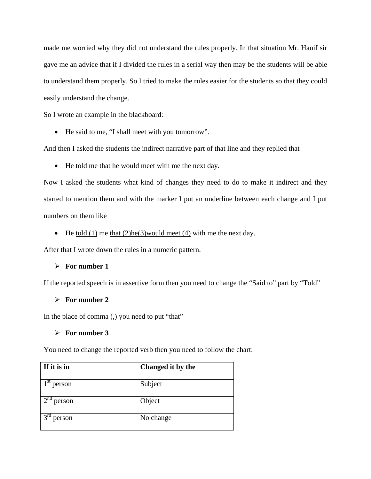made me worried why they did not understand the rules properly. In that situation Mr. Hanif sir gave me an advice that if I divided the rules in a serial way then may be the students will be able to understand them properly. So I tried to make the rules easier for the students so that they could easily understand the change.

So I wrote an example in the blackboard:

• He said to me, "I shall meet with you tomorrow".

And then I asked the students the indirect narrative part of that line and they replied that

• He told me that he would meet with me the next day.

Now I asked the students what kind of changes they need to do to make it indirect and they started to mention them and with the marker I put an underline between each change and I put numbers on them like

• He <u>told (1)</u> me that  $(2)$ he $(3)$  would meet  $(4)$  with me the next day.

After that I wrote down the rules in a numeric pattern.

### ¾ **For number 1**

If the reported speech is in assertive form then you need to change the "Said to" part by "Told"

#### ¾ **For number 2**

In the place of comma (,) you need to put "that"

#### ¾ **For number 3**

You need to change the reported verb then you need to follow the chart:

| If it is in               | Changed it by the |
|---------------------------|-------------------|
| 1 <sup>st</sup><br>person | Subject           |
| $2^{na}$<br>person        | Object            |
| $3^{rd}$<br>person        | No change         |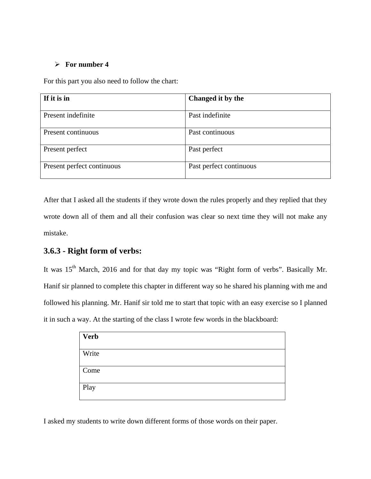### ¾ **For number 4**

For this part you also need to follow the chart:

| If it is in                | Changed it by the       |
|----------------------------|-------------------------|
| Present indefinite         | Past indefinite         |
| Present continuous         | Past continuous         |
| Present perfect            | Past perfect            |
| Present perfect continuous | Past perfect continuous |

After that I asked all the students if they wrote down the rules properly and they replied that they wrote down all of them and all their confusion was clear so next time they will not make any mistake.

### **3.6.3 - Right form of verbs:**

It was 15<sup>th</sup> March, 2016 and for that day my topic was "Right form of verbs". Basically Mr. Hanif sir planned to complete this chapter in different way so he shared his planning with me and followed his planning. Mr. Hanif sir told me to start that topic with an easy exercise so I planned it in such a way. At the starting of the class I wrote few words in the blackboard:

| <b>Verb</b> |  |
|-------------|--|
| Write       |  |
| Come        |  |
| Play        |  |

I asked my students to write down different forms of those words on their paper.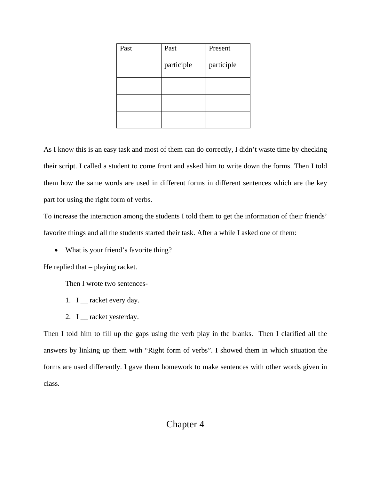| Past | Past       | Present    |
|------|------------|------------|
|      | participle | participle |
|      |            |            |
|      |            |            |
|      |            |            |

As I know this is an easy task and most of them can do correctly, I didn't waste time by checking their script. I called a student to come front and asked him to write down the forms. Then I told them how the same words are used in different forms in different sentences which are the key part for using the right form of verbs.

To increase the interaction among the students I told them to get the information of their friends' favorite things and all the students started their task. After a while I asked one of them:

• What is your friend's favorite thing?

He replied that – playing racket.

Then I wrote two sentences-

- 1. I \_\_ racket every day.
- 2. I \_\_ racket yesterday.

Then I told him to fill up the gaps using the verb play in the blanks. Then I clarified all the answers by linking up them with "Right form of verbs". I showed them in which situation the forms are used differently. I gave them homework to make sentences with other words given in class.

# Chapter 4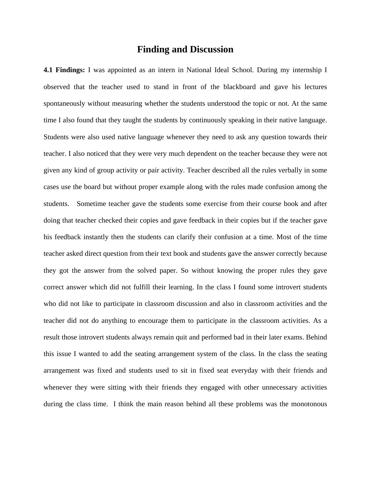### **Finding and Discussion**

**4.1 Findings:** I was appointed as an intern in National Ideal School. During my internship I observed that the teacher used to stand in front of the blackboard and gave his lectures spontaneously without measuring whether the students understood the topic or not. At the same time I also found that they taught the students by continuously speaking in their native language. Students were also used native language whenever they need to ask any question towards their teacher. I also noticed that they were very much dependent on the teacher because they were not given any kind of group activity or pair activity. Teacher described all the rules verbally in some cases use the board but without proper example along with the rules made confusion among the students. Sometime teacher gave the students some exercise from their course book and after doing that teacher checked their copies and gave feedback in their copies but if the teacher gave his feedback instantly then the students can clarify their confusion at a time. Most of the time teacher asked direct question from their text book and students gave the answer correctly because they got the answer from the solved paper. So without knowing the proper rules they gave correct answer which did not fulfill their learning. In the class I found some introvert students who did not like to participate in classroom discussion and also in classroom activities and the teacher did not do anything to encourage them to participate in the classroom activities. As a result those introvert students always remain quit and performed bad in their later exams. Behind this issue I wanted to add the seating arrangement system of the class. In the class the seating arrangement was fixed and students used to sit in fixed seat everyday with their friends and whenever they were sitting with their friends they engaged with other unnecessary activities during the class time. I think the main reason behind all these problems was the monotonous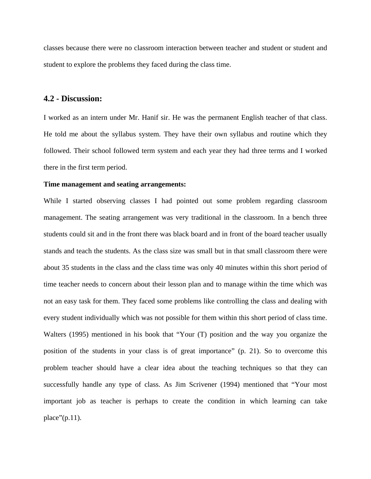classes because there were no classroom interaction between teacher and student or student and student to explore the problems they faced during the class time.

#### **4.2 - Discussion:**

I worked as an intern under Mr. Hanif sir. He was the permanent English teacher of that class. He told me about the syllabus system. They have their own syllabus and routine which they followed. Their school followed term system and each year they had three terms and I worked there in the first term period.

#### **Time management and seating arrangements:**

While I started observing classes I had pointed out some problem regarding classroom management. The seating arrangement was very traditional in the classroom. In a bench three students could sit and in the front there was black board and in front of the board teacher usually stands and teach the students. As the class size was small but in that small classroom there were about 35 students in the class and the class time was only 40 minutes within this short period of time teacher needs to concern about their lesson plan and to manage within the time which was not an easy task for them. They faced some problems like controlling the class and dealing with every student individually which was not possible for them within this short period of class time. Walters (1995) mentioned in his book that "Your (T) position and the way you organize the position of the students in your class is of great importance" (p. 21). So to overcome this problem teacher should have a clear idea about the teaching techniques so that they can successfully handle any type of class. As Jim Scrivener (1994) mentioned that "Your most important job as teacher is perhaps to create the condition in which learning can take place" $(p.11)$ .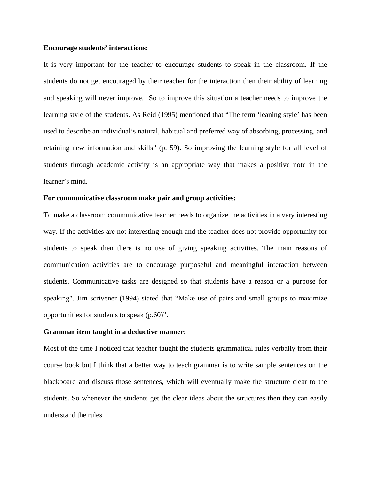#### **Encourage students' interactions:**

It is very important for the teacher to encourage students to speak in the classroom. If the students do not get encouraged by their teacher for the interaction then their ability of learning and speaking will never improve. So to improve this situation a teacher needs to improve the learning style of the students. As Reid (1995) mentioned that "The term 'leaning style' has been used to describe an individual's natural, habitual and preferred way of absorbing, processing, and retaining new information and skills" (p. 59). So improving the learning style for all level of students through academic activity is an appropriate way that makes a positive note in the learner's mind.

### **For communicative classroom make pair and group activities:**

To make a classroom communicative teacher needs to organize the activities in a very interesting way. If the activities are not interesting enough and the teacher does not provide opportunity for students to speak then there is no use of giving speaking activities. The main reasons of communication activities are to encourage purposeful and meaningful interaction between students. Communicative tasks are designed so that students have a reason or a purpose for speaking". Jim scrivener (1994) stated that "Make use of pairs and small groups to maximize opportunities for students to speak (p.60)".

#### **Grammar item taught in a deductive manner:**

Most of the time I noticed that teacher taught the students grammatical rules verbally from their course book but I think that a better way to teach grammar is to write sample sentences on the blackboard and discuss those sentences, which will eventually make the structure clear to the students. So whenever the students get the clear ideas about the structures then they can easily understand the rules.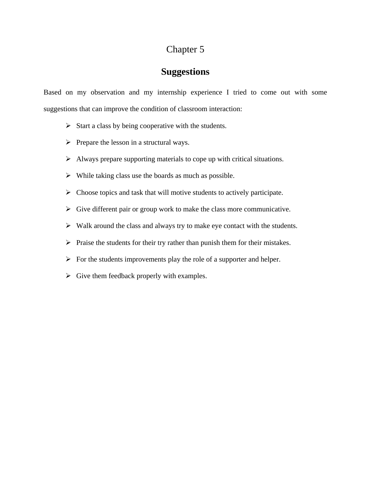# **Suggestions**

Based on my observation and my internship experience I tried to come out with some suggestions that can improve the condition of classroom interaction:

- $\triangleright$  Start a class by being cooperative with the students.
- $\triangleright$  Prepare the lesson in a structural ways.
- $\triangleright$  Always prepare supporting materials to cope up with critical situations.
- $\triangleright$  While taking class use the boards as much as possible.
- $\triangleright$  Choose topics and task that will motive students to actively participate.
- $\triangleright$  Give different pair or group work to make the class more communicative.
- $\triangleright$  Walk around the class and always try to make eye contact with the students.
- $\triangleright$  Praise the students for their try rather than punish them for their mistakes.
- $\triangleright$  For the students improvements play the role of a supporter and helper.
- $\triangleright$  Give them feedback properly with examples.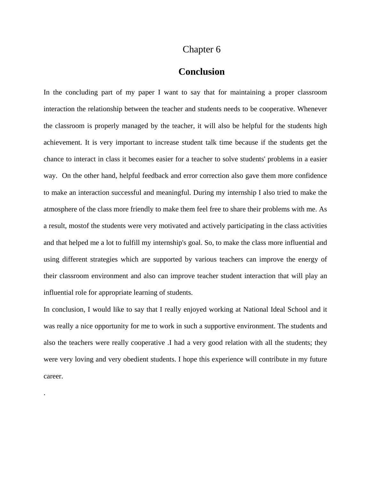### **Conclusion**

In the concluding part of my paper I want to say that for maintaining a proper classroom interaction the relationship between the teacher and students needs to be cooperative. Whenever the classroom is properly managed by the teacher, it will also be helpful for the students high achievement. It is very important to increase student talk time because if the students get the chance to interact in class it becomes easier for a teacher to solve students' problems in a easier way. On the other hand, helpful feedback and error correction also gave them more confidence to make an interaction successful and meaningful. During my internship I also tried to make the atmosphere of the class more friendly to make them feel free to share their problems with me. As a result, mostof the students were very motivated and actively participating in the class activities and that helped me a lot to fulfill my internship's goal. So, to make the class more influential and using different strategies which are supported by various teachers can improve the energy of their classroom environment and also can improve teacher student interaction that will play an influential role for appropriate learning of students.

In conclusion, I would like to say that I really enjoyed working at National Ideal School and it was really a nice opportunity for me to work in such a supportive environment. The students and also the teachers were really cooperative .I had a very good relation with all the students; they were very loving and very obedient students. I hope this experience will contribute in my future career.

.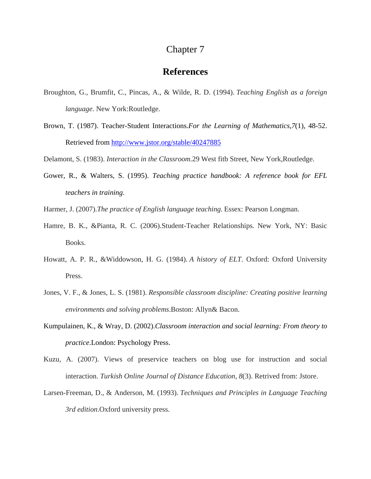### **References**

- Broughton, G., Brumfit, C., Pincas, A., & Wilde, R. D. (1994). *Teaching English as a foreign language*. New York:Routledge.
- Brown, T. (1987). Teacher-Student Interactions.*For the Learning of Mathematics,7*(1), 48-52. Retrieved from <http://www.jstor.org/stable/40247885>
- Delamont, S. (1983). *Interaction in the Classroom*.29 West fitb Street, New York,Routledge.
- Gower, R., & Walters, S. (1995). *Teaching practice handbook: A reference book for EFL teachers in training*.
- Harmer, J. (2007).*The practice of English language teaching*. Essex: Pearson Longman.
- Hamre, B. K., &Pianta, R. C. (2006).Student-Teacher Relationships. New York, NY: Basic Books.
- Howatt, A. P. R., &Widdowson, H. G. (1984). *A history of ELT*. Oxford: Oxford University Press.
- Jones, V. F., & Jones, L. S. (1981). *Responsible classroom discipline: Creating positive learning environments and solving problems*.Boston: Allyn& Bacon.
- Kumpulainen, K., & Wray, D. (2002).*Classroom interaction and social learning: From theory to practice*.London: Psychology Press.
- Kuzu, A. (2007). Views of preservice teachers on blog use for instruction and social interaction. *Turkish Online Journal of Distance Education*, *8*(3). Retrived from: Jstore.
- Larsen-Freeman, D., & Anderson, M. (1993). *Techniques and Principles in Language Teaching 3rd edition*.Oxford university press.